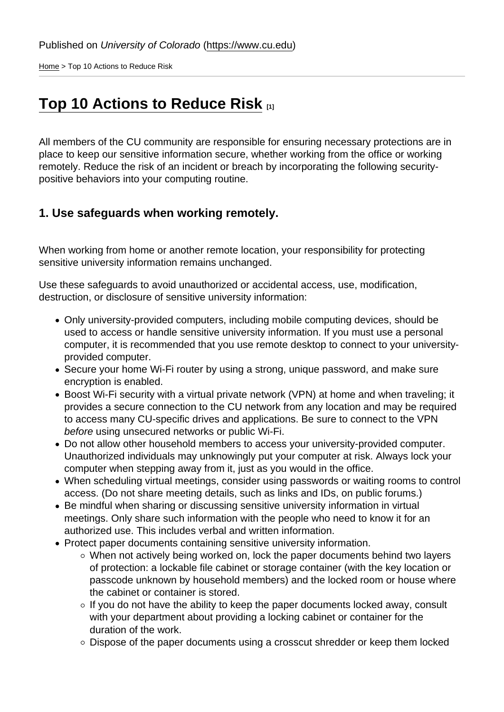[Home](https://www.cu.edu/) > Top 10 Actions to Reduce Risk

# [Top 10 Actions to Reduce Risk](https://www.cu.edu/security/awareness/top-10-actions-reduce-risk) [1]

All members of the CU community are responsible for ensuring necessary protections are in place to keep our sensitive information secure, whether working from the office or working remotely. Reduce the risk of an incident or breach by incorporating the following securitypositive behaviors into your computing routine.

1. Use safeguards when working remotely.

When working from home or another remote location, your responsibility for protecting sensitive university information remains unchanged.

Use these safeguards to avoid unauthorized or accidental access, use, modification, destruction, or disclosure of sensitive university information:

- Only university-provided computers, including mobile computing devices, should be used to access or handle sensitive university information. If you must use a personal computer, it is recommended that you use remote desktop to connect to your universityprovided computer.
- Secure your home Wi-Fi router by using a strong, unique password, and make sure encryption is enabled.
- Boost Wi-Fi security with a virtual private network (VPN) at home and when traveling; it provides a secure connection to the CU network from any location and may be required to access many CU-specific drives and applications. Be sure to connect to the VPN before using unsecured networks or public Wi-Fi.
- Do not allow other household members to access your university-provided computer. Unauthorized individuals may unknowingly put your computer at risk. Always lock your computer when stepping away from it, just as you would in the office.
- When scheduling virtual meetings, consider using passwords or waiting rooms to control access. (Do not share meeting details, such as links and IDs, on public forums.)
- Be mindful when sharing or discussing sensitive university information in virtual meetings. Only share such information with the people who need to know it for an authorized use. This includes verbal and written information.
- Protect paper documents containing sensitive university information.
	- When not actively being worked on, lock the paper documents behind two layers of protection: a lockable file cabinet or storage container (with the key location or passcode unknown by household members) and the locked room or house where the cabinet or container is stored.
	- $\circ$  If you do not have the ability to keep the paper documents locked away, consult with your department about providing a locking cabinet or container for the duration of the work.
	- Dispose of the paper documents using a crosscut shredder or keep them locked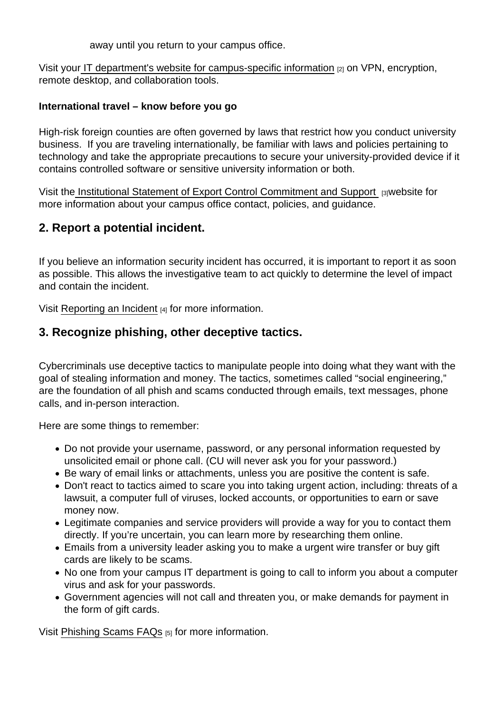away until you return to your campus office.

Visit you[r IT department's website for campus-specific information](https://www.cu.edu/security/about) [2] on VPN, encryption, remote desktop, and collaboration tools.

International travel – know before you go

High-risk foreign counties are often governed by laws that restrict how you conduct university business. If you are traveling internationally, be familiar with laws and policies pertaining to technology and take the appropriate precautions to secure your university-provided device if it contains controlled software or sensitive university information or both.

Visit the [Institutional Statement of Export Control Commitment and Support](https://www.cu.edu/export-control) [3]website for more information about your campus office contact, policies, and guidance.

2. Report a potential incident.

If you believe an information security incident has occurred, it is important to report it as soon as possible. This allows the investigative team to act quickly to determine the level of impact and contain the incident.

Visit [Reporting an Incident](https://www.cu.edu/security/reporting-incident) [4] for more information.

3. Recognize phishing, other deceptive tactics.

Cybercriminals use deceptive tactics to manipulate people into doing what they want with the goal of stealing information and money. The tactics, sometimes called "social engineering," are the foundation of all phish and scams conducted through emails, text messages, phone calls, and in-person interaction.

Here are some things to remember:

- Do not provide your username, password, or any personal information requested by unsolicited email or phone call. (CU will never ask you for your password.)
- Be wary of email links or attachments, unless you are positive the content is safe.
- Don't react to tactics aimed to scare you into taking urgent action, including: threats of a lawsuit, a computer full of viruses, locked accounts, or opportunities to earn or save money now.
- Legitimate companies and service providers will provide a way for you to contact them directly. If you're uncertain, you can learn more by researching them online.
- Emails from a university leader asking you to make a urgent wire transfer or buy gift cards are likely to be scams.
- No one from your campus IT department is going to call to inform you about a computer virus and ask for your passwords.
- Government agencies will not call and threaten you, or make demands for payment in the form of gift cards.

Visit [Phishing Scams FAQs](https://www.cu.edu/security/awareness/phishing-scams-faqs) [5] for more information.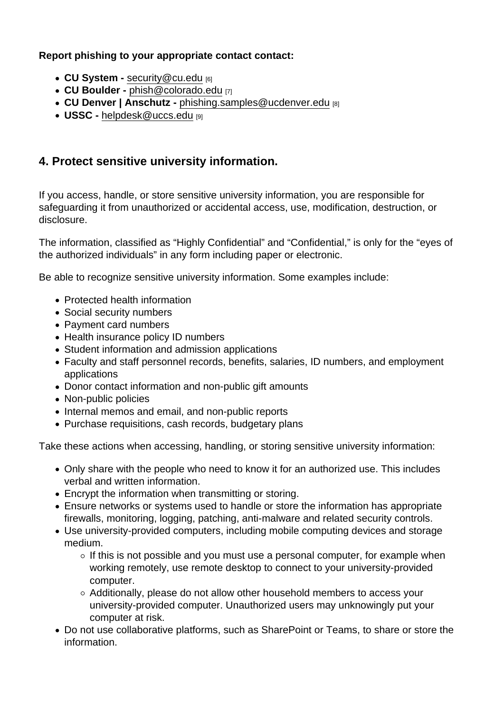Report phishing to your appropriate contact contact:

- CU System [security@cu.edu](mailto:security@cu.edu) [6]
- CU Boulder [phish@colorado.edu](mailto:phish@colorado.edu) [7]
- CU Denver | Anschutz [phishing.samples@ucdenver.edu](mailto:phishing.samples@ucdenver.edu) [8]
- USSC - [helpdesk@uccs.edu](mailto:helpdesk@uccs.edu) [9]
- 4. Protect sensitive university information.

If you access, handle, or store sensitive university information, you are responsible for safeguarding it from unauthorized or accidental access, use, modification, destruction, or disclosure.

The information, classified as "Highly Confidential" and "Confidential," is only for the "eyes of the authorized individuals" in any form including paper or electronic.

Be able to recognize sensitive university information. Some examples include:

- Protected health information
- Social security numbers
- Payment card numbers
- Health insurance policy ID numbers
- Student information and admission applications
- Faculty and staff personnel records, benefits, salaries, ID numbers, and employment applications
- Donor contact information and non-public gift amounts
- Non-public policies
- Internal memos and email, and non-public reports
- Purchase requisitions, cash records, budgetary plans

Take these actions when accessing, handling, or storing sensitive university information:

- Only share with the people who need to know it for an authorized use. This includes verbal and written information.
- Encrypt the information when transmitting or storing.
- Ensure networks or systems used to handle or store the information has appropriate firewalls, monitoring, logging, patching, anti-malware and related security controls.
- Use university-provided computers, including mobile computing devices and storage medium.
	- $\circ$  If this is not possible and you must use a personal computer, for example when working remotely, use remote desktop to connect to your university-provided computer.
	- $\circ$  Additionally, please do not allow other household members to access your university-provided computer. Unauthorized users may unknowingly put your computer at risk.
- Do not use collaborative platforms, such as SharePoint or Teams, to share or store the information.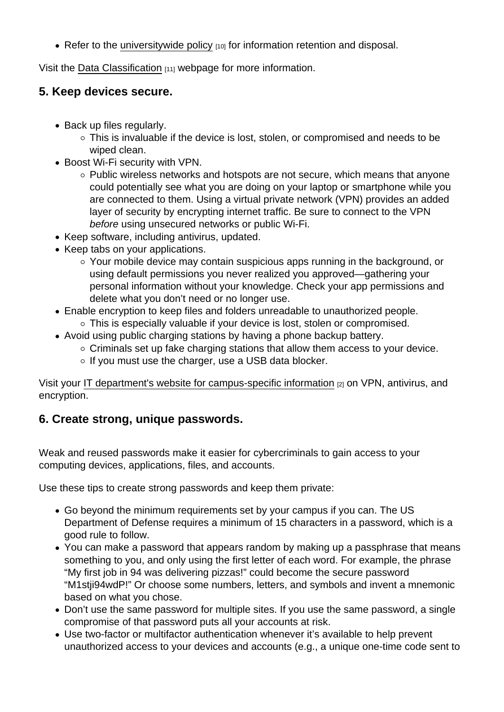• Refer to the [universitywide policy](https://www.cu.edu/ope/aps/2006)  $[10]$  for information retention and disposal.

Visit the [Data Classification](https://www.cu.edu/ois/data-classifications-impact) [11] webpage for more information.

- 5. Keep devices secure.
	- Back up files regularly.
		- This is invaluable if the device is lost, stolen, or compromised and needs to be wiped clean.
	- Boost Wi-Fi security with VPN.
		- o Public wireless networks and hotspots are not secure, which means that anyone could potentially see what you are doing on your laptop or smartphone while you are connected to them. Using a virtual private network (VPN) provides an added layer of security by encrypting internet traffic. Be sure to connect to the VPN before using unsecured networks or public Wi-Fi.
	- Keep software, including antivirus, updated.
	- Keep tabs on your applications.
		- Your mobile device may contain suspicious apps running in the background, or using default permissions you never realized you approved—gathering your personal information without your knowledge. Check your app permissions and delete what you don't need or no longer use.
	- Enable encryption to keep files and folders unreadable to unauthorized people.
		- This is especially valuable if your device is lost, stolen or compromised.
	- Avoid using public charging stations by having a phone backup battery.
		- $\circ$  Criminals set up fake charging stations that allow them access to your device.
		- $\circ$  If you must use the charger, use a USB data blocker.

Visit your [IT department's website for campus-specific information](https://www.cu.edu/security/about) [2] on VPN, antivirus, and encryption.

#### 6. Create strong, unique passwords.

Weak and reused passwords make it easier for cybercriminals to gain access to your computing devices, applications, files, and accounts.

Use these tips to create strong passwords and keep them private:

- Go beyond the minimum requirements set by your campus if you can. The US Department of Defense requires a minimum of 15 characters in a password, which is a good rule to follow.
- You can make a password that appears random by making up a passphrase that means something to you, and only using the first letter of each word. For example, the phrase "My first job in 94 was delivering pizzas!" could become the secure password "M1stji94wdP!" Or choose some numbers, letters, and symbols and invent a mnemonic based on what you chose.
- Don't use the same password for multiple sites. If you use the same password, a single compromise of that password puts all your accounts at risk.
- Use two-factor or multifactor authentication whenever it's available to help prevent unauthorized access to your devices and accounts (e.g., a unique one-time code sent to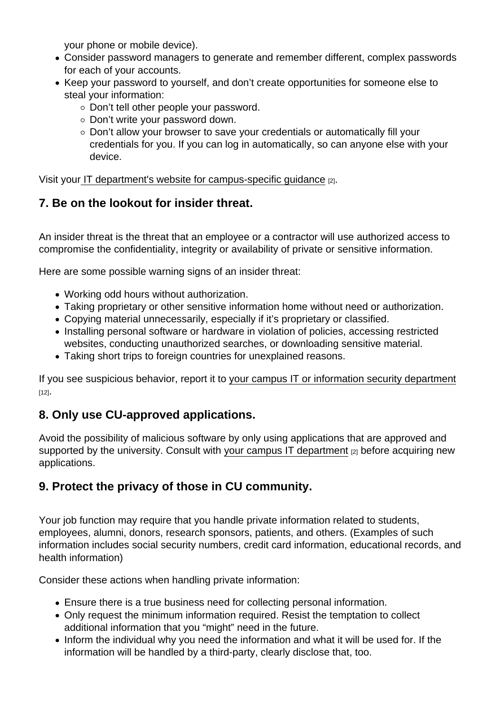your phone or mobile device).

- Consider password managers to generate and remember different, complex passwords for each of your accounts.
- Keep your password to yourself, and don't create opportunities for someone else to steal your information:
	- o Don't tell other people your password.
	- o Don't write your password down.
	- Don't allow your browser to save your credentials or automatically fill your credentials for you. If you can log in automatically, so can anyone else with your device.

Visit you[r IT department's website for campus-specific guidance](https://www.cu.edu/security/about) [2].

#### 7. Be on the lookout for insider threat.

An insider threat is the threat that an employee or a contractor will use authorized access to compromise the confidentiality, integrity or availability of private or sensitive information.

Here are some possible warning signs of an insider threat:

- Working odd hours without authorization.
- Taking proprietary or other sensitive information home without need or authorization.
- Copying material unnecessarily, especially if it's proprietary or classified.
- Installing personal software or hardware in violation of policies, accessing restricted websites, conducting unauthorized searches, or downloading sensitive material.
- Taking short trips to foreign countries for unexplained reasons.

If you see suspicious behavior, report it to [your campus IT or information security department](https://cu.edu/security/about)  $[12]$ .

### 8. Only use CU-approved applications.

Avoid the possibility of malicious software by only using applications that are approved and supported by the university. Consult with [your campus IT department](https://www.cu.edu/security/about) [2] before acquiring new applications.

#### 9. Protect the privacy of those in CU community.

Your job function may require that you handle private information related to students, employees, alumni, donors, research sponsors, patients, and others. (Examples of such information includes social security numbers, credit card information, educational records, and health information)

Consider these actions when handling private information:

- Ensure there is a true business need for collecting personal information.
- Only request the minimum information required. Resist the temptation to collect additional information that you "might" need in the future.
- Inform the individual why you need the information and what it will be used for. If the information will be handled by a third-party, clearly disclose that, too.